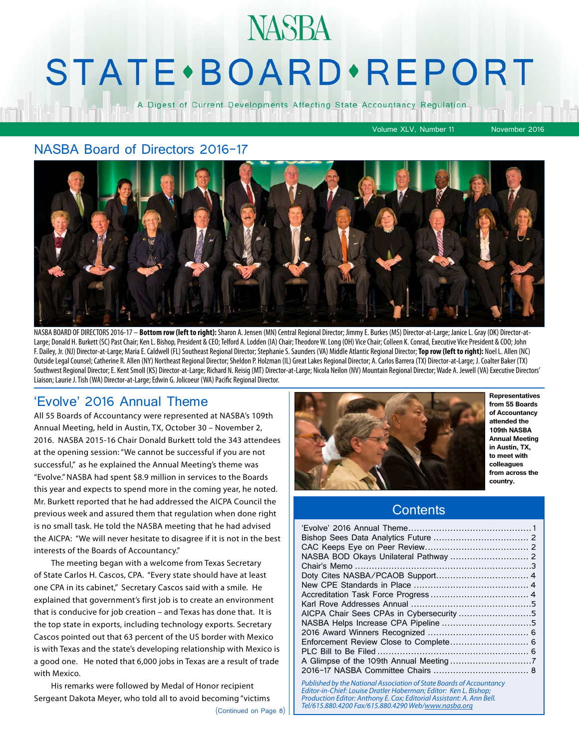# **STATE** · BOARD · REPORT

**NASBA** 

A Digest of Current Developments Affecting State Accountancy Regulation

Volume XLV, Number 11 November 2016

#### NASBA Board of Directors 2016-17



NASBA BOARD OF DIRECTORS 2016-17 - Bottom row (left to right): Sharon A. Jensen (MN) Central Regional Director; Jimmy E. Burkes (MS) Director-at-Large; Janice L. Gray (OK) Director-at-Large; Donald H. Burkett (SC) Past Chair; Ken L. Bishop, President & CEO; Telford A. Lodden (IA) Chair; Theodore W. Long (OH) Vice Chair; Colleen K. Conrad, Executive Vice President & COO; John F. Dailey, Jr. (NJ) Director-at-Large; Maria E. Caldwell (FL) Southeast Regional Director; Stephanie S. Saunders (VA) Middle Atlantic Regional Director; **Top row (left to right):** Noel L. Allen (NC) Outside Legal Counsel; Catherine R. Allen (NY) Northeast Regional Director; Sheldon P. Holzman (IL) Great Lakes Regional Director; A. Carlos Barrera (TX) Director-at-Large; J. Coalter Baker (TX) Southwest Regional Director; E. Kent Smoll (KS) Director-at-Large; Richard N. Reisig (MT) Director-at-Large; Nicola Neilon (NV) Mountain Regional Director; Wade A. Jewell (VA) Executive Directors' Liaison; Laurie J. Tish (WA) Director-at-Large; Edwin G. Jolicoeur (WA) Pacific Regional Director.

All 55 Boards of Accountancy were represented at NASBA's 109th Annual Meeting, held in Austin, TX, October 30 – November 2, 2016. NASBA 2015-16 Chair Donald Burkett told the 343 attendees at the opening session: "We cannot be successful if you are not successful," as he explained the Annual Meeting's theme was "Evolve." NASBA had spent \$8.9 million in services to the Boards this year and expects to spend more in the coming year, he noted. Mr. Burkett reported that he had addressed the AICPA Council the previous week and assured them that regulation when done right is no small task. He told the NASBA meeting that he had advised the AICPA: "We will never hesitate to disagree if it is not in the best interests of the Boards of Accountancy."

The meeting began with a welcome from Texas Secretary of State Carlos H. Cascos, CPA. "Every state should have at least one CPA in its cabinet," Secretary Cascos said with a smile. He explained that government's first job is to create an environment that is conducive for job creation – and Texas has done that. It is the top state in exports, including technology exports. Secretary Cascos pointed out that 63 percent of the US border with Mexico is with Texas and the state's developing relationship with Mexico is a good one. He noted that 6,000 jobs in Texas are a result of trade with Mexico.

His remarks were followed by Medal of Honor recipient Sergeant Dakota Meyer, who told all to avoid becoming "victims



**from 55 Boards of Accountancy attended the 109th NASBA Annual Meeting in Austin, TX, to meet with colleagues from across the country.** 

#### **Contents**

| NASBA BOD Okays Unilateral Pathway  2    |  |
|------------------------------------------|--|
|                                          |  |
|                                          |  |
|                                          |  |
|                                          |  |
|                                          |  |
| AICPA Chair Sees CPAs in Cybersecurity 5 |  |
|                                          |  |
|                                          |  |
| Enforcement Review Close to Complete 6   |  |
|                                          |  |
|                                          |  |
|                                          |  |
|                                          |  |

*Published by the National Association of State Boards of Accountancy Editor-in-Chief: Louise Dratler Haberman; Editor: Ken L. Bishop; Production Editor: Anthony E. Cox; Editorial Assistant: A. Ann Bell. Tel/615.880.4200 Fax/615.880.4290 Web[/www.nasba.org](http://www.nasba.org)*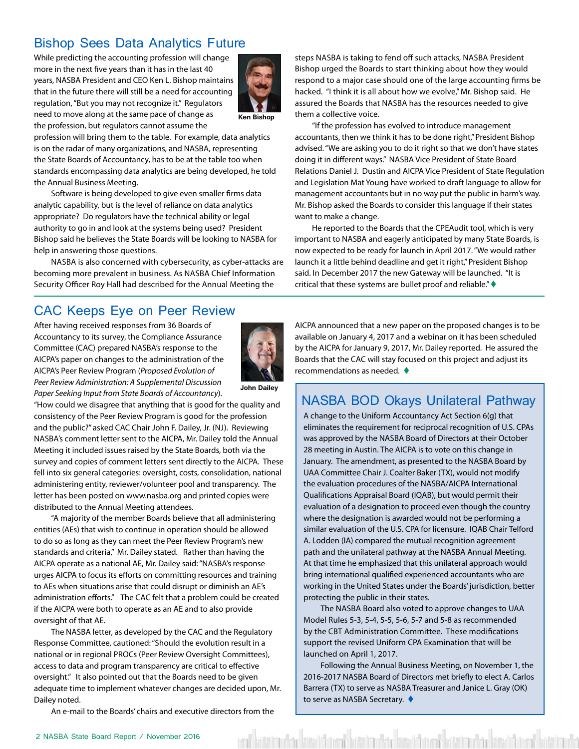#### <span id="page-1-0"></span>Bishop Sees Data Analytics Future

While predicting the accounting profession will change more in the next five years than it has in the last 40 years, NASBA President and CEO Ken L. Bishop maintains that in the future there will still be a need for accounting regulation, "But you may not recognize it." Regulators need to move along at the same pace of change as the profession, but regulators cannot assume the



**Ken Bishop**

profession will bring them to the table. For example, data analytics is on the radar of many organizations, and NASBA, representing the State Boards of Accountancy, has to be at the table too when standards encompassing data analytics are being developed, he told the Annual Business Meeting.

Software is being developed to give even smaller firms data analytic capability, but is the level of reliance on data analytics appropriate? Do regulators have the technical ability or legal authority to go in and look at the systems being used? President Bishop said he believes the State Boards will be looking to NASBA for help in answering those questions.

NASBA is also concerned with cybersecurity, as cyber-attacks are becoming more prevalent in business. As NASBA Chief Information Security Officer Roy Hall had described for the Annual Meeting the

#### CAC Keeps Eye on Peer Review

After having received responses from 36 Boards of Accountancy to its survey, the Compliance Assurance Committee (CAC) prepared NASBA's response to the AICPA's paper on changes to the administration of the AICPA's Peer Review Program (*Proposed Evolution of Peer Review Administration: A Supplemental Discussion Paper Seeking Input from State Boards of Accountancy*).



**John Dailey**

"How could we disagree that anything that is good for the quality and consistency of the Peer Review Program is good for the profession and the public?" asked CAC Chair John F. Dailey, Jr. (NJ). Reviewing NASBA's comment letter sent to the AICPA, Mr. Dailey told the Annual Meeting it included issues raised by the State Boards, both via the survey and copies of comment letters sent directly to the AICPA. These fell into six general categories: oversight, costs, consolidation, national administering entity, reviewer/volunteer pool and transparency. The letter has been posted on www.nasba.org and printed copies were distributed to the Annual Meeting attendees.

"A majority of the member Boards believe that all administering entities (AEs) that wish to continue in operation should be allowed to do so as long as they can meet the Peer Review Program's new standards and criteria," Mr. Dailey stated. Rather than having the AICPA operate as a national AE, Mr. Dailey said: "NASBA's response urges AICPA to focus its efforts on committing resources and training to AEs when situations arise that could disrupt or diminish an AE's administration efforts." The CAC felt that a problem could be created if the AICPA were both to operate as an AE and to also provide oversight of that AE.

The NASBA letter, as developed by the CAC and the Regulatory Response Committee, cautioned: "Should the evolution result in a national or in regional PROCs (Peer Review Oversight Committees), access to data and program transparency are critical to effective oversight." It also pointed out that the Boards need to be given adequate time to implement whatever changes are decided upon, Mr. Dailey noted.

An e-mail to the Boards' chairs and executive directors from the

steps NASBA is taking to fend off such attacks, NASBA President Bishop urged the Boards to start thinking about how they would respond to a major case should one of the large accounting firms be hacked. "I think it is all about how we evolve," Mr. Bishop said. He assured the Boards that NASBA has the resources needed to give them a collective voice.

"If the profession has evolved to introduce management accountants, then we think it has to be done right," President Bishop advised. "We are asking you to do it right so that we don't have states doing it in different ways." NASBA Vice President of State Board Relations Daniel J. Dustin and AICPA Vice President of State Regulation and Legislation Mat Young have worked to draft language to allow for management accountants but in no way put the public in harm's way. Mr. Bishop asked the Boards to consider this language if their states want to make a change.

He reported to the Boards that the CPEAudit tool, which is very important to NASBA and eagerly anticipated by many State Boards, is now expected to be ready for launch in April 2017. "We would rather launch it a little behind deadline and get it right," President Bishop said. In December 2017 the new Gateway will be launched. "It is critical that these systems are bullet proof and reliable." $\blacklozenge$ 

AICPA announced that a new paper on the proposed changes is to be available on January 4, 2017 and a webinar on it has been scheduled by the AICPA for January 9, 2017, Mr. Dailey reported. He assured the Boards that the CAC will stay focused on this project and adjust its recommendations as needed.  $\blacklozenge$ 

#### NASBA BOD Okays Unilateral Pathway

A change to the Uniform Accountancy Act Section 6(g) that eliminates the requirement for reciprocal recognition of U.S. CPAs was approved by the NASBA Board of Directors at their October 28 meeting in Austin. The AICPA is to vote on this change in January. The amendment, as presented to the NASBA Board by UAA Committee Chair J. Coalter Baker (TX), would not modify the evaluation procedures of the NASBA/AICPA International Qualifications Appraisal Board (IQAB), but would permit their evaluation of a designation to proceed even though the country where the designation is awarded would not be performing a similar evaluation of the U.S. CPA for licensure. IQAB Chair Telford A. Lodden (IA) compared the mutual recognition agreement path and the unilateral pathway at the NASBA Annual Meeting. At that time he emphasized that this unilateral approach would bring international qualified experienced accountants who are working in the United States under the Boards' jurisdiction, better protecting the public in their states.

The NASBA Board also voted to approve changes to UAA Model Rules 5-3, 5-4, 5-5, 5-6, 5-7 and 5-8 as recommended by the CBT Administration Committee. These modifications support the revised Uniform CPA Examination that will be launched on April 1, 2017.

Following the Annual Business Meeting, on November 1, the 2016-2017 NASBA Board of Directors met briefly to elect A. Carlos Barrera (TX) to serve as NASBA Treasurer and Janice L. Gray (OK) to serve as NASBA Secretary.  $\blacklozenge$ 

kötti mukár kövüd öved kötti mukár kövüd öved kötti mukár kövüd öved kötti muká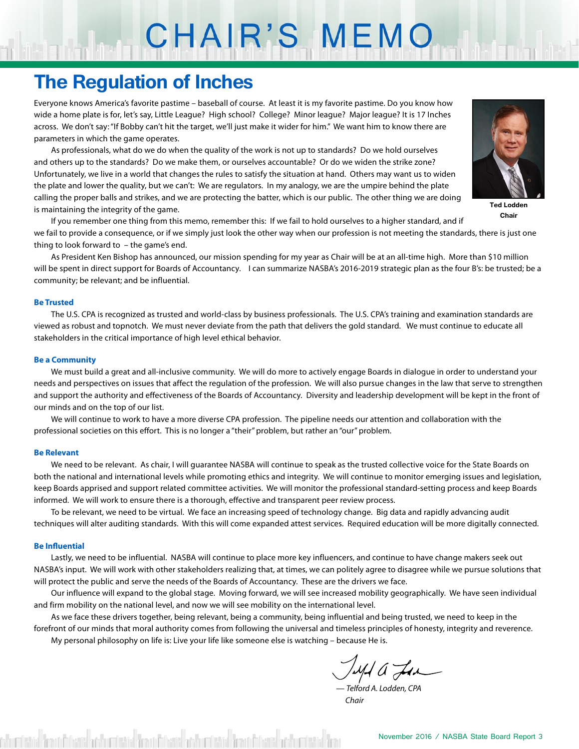## CHAIR'S MEMO

#### **The Regulation of Inches**

Everyone knows America's favorite pastime – baseball of course. At least it is my favorite pastime. Do you know how wide a home plate is for, let's say, Little League? High school? College? Minor league? Major league? It is 17 Inches across. We don't say: "If Bobby can't hit the target, we'll just make it wider for him." We want him to know there are parameters in which the game operates.

As professionals, what do we do when the quality of the work is not up to standards? Do we hold ourselves and others up to the standards? Do we make them, or ourselves accountable? Or do we widen the strike zone? Unfortunately, we live in a world that changes the rules to satisfy the situation at hand. Others may want us to widen the plate and lower the quality, but we can't: We are regulators. In my analogy, we are the umpire behind the plate calling the proper balls and strikes, and we are protecting the batter, which is our public. The other thing we are doing is maintaining the integrity of the game.



**Ted Lodden Chair**

If you remember one thing from this memo, remember this: If we fail to hold ourselves to a higher standard, and if we fail to provide a consequence, or if we simply just look the other way when our profession is not meeting the standards, there is just one thing to look forward to – the game's end.

As President Ken Bishop has announced, our mission spending for my year as Chair will be at an all-time high. More than \$10 million will be spent in direct support for Boards of Accountancy. I can summarize NASBA's 2016-2019 strategic plan as the four B's: be trusted; be a community; be relevant; and be influential.

#### **Be Trusted**

The U.S. CPA is recognized as trusted and world-class by business professionals. The U.S. CPA's training and examination standards are viewed as robust and topnotch. We must never deviate from the path that delivers the gold standard. We must continue to educate all stakeholders in the critical importance of high level ethical behavior.

#### **Be a Community**

We must build a great and all-inclusive community. We will do more to actively engage Boards in dialogue in order to understand your needs and perspectives on issues that affect the regulation of the profession. We will also pursue changes in the law that serve to strengthen and support the authority and effectiveness of the Boards of Accountancy. Diversity and leadership development will be kept in the front of our minds and on the top of our list.

We will continue to work to have a more diverse CPA profession. The pipeline needs our attention and collaboration with the professional societies on this effort. This is no longer a "their" problem, but rather an "our" problem.

#### **Be Relevant**

We need to be relevant. As chair, I will guarantee NASBA will continue to speak as the trusted collective voice for the State Boards on both the national and international levels while promoting ethics and integrity. We will continue to monitor emerging issues and legislation, keep Boards apprised and support related committee activities. We will monitor the professional standard-setting process and keep Boards informed. We will work to ensure there is a thorough, effective and transparent peer review process.

To be relevant, we need to be virtual. We face an increasing speed of technology change. Big data and rapidly advancing audit techniques will alter auditing standards. With this will come expanded attest services. Required education will be more digitally connected.

#### **Be Influential**

Lastly, we need to be influential. NASBA will continue to place more key influencers, and continue to have change makers seek out NASBA's input. We will work with other stakeholders realizing that, at times, we can politely agree to disagree while we pursue solutions that will protect the public and serve the needs of the Boards of Accountancy. These are the drivers we face.

Our influence will expand to the global stage. Moving forward, we will see increased mobility geographically. We have seen individual and firm mobility on the national level, and now we will see mobility on the international level.

As we face these drivers together, being relevant, being a community, being influential and being trusted, we need to keep in the forefront of our minds that moral authority comes from following the universal and timeless principles of honesty, integrity and reverence. My personal philosophy on life is: Live your life like someone else is watching – because He is.

Juff a Lin

— *Telford A. Lodden, CPA Chair*

dóir Traobhaid ach mheid Traobhaid ach mheid Traobhaid ach mheid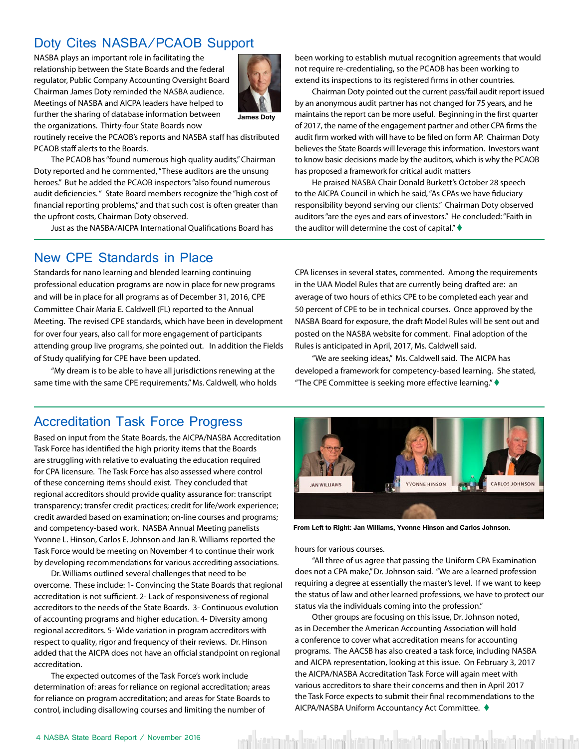#### <span id="page-3-0"></span>Doty Cites NASBA/PCAOB Support

NASBA plays an important role in facilitating the relationship between the State Boards and the federal regulator, Public Company Accounting Oversight Board Chairman James Doty reminded the NASBA audience. Meetings of NASBA and AICPA leaders have helped to further the sharing of database information between the organizations. Thirty-four State Boards now



**James Doty**

routinely receive the PCAOB's reports and NASBA staff has distributed PCAOB staff alerts to the Boards.

The PCAOB has "found numerous high quality audits," Chairman Doty reported and he commented, "These auditors are the unsung heroes." But he added the PCAOB inspectors "also found numerous audit deficiencies. " State Board members recognize the "high cost of financial reporting problems," and that such cost is often greater than the upfront costs, Chairman Doty observed.

Just as the NASBA/AICPA International Qualifications Board has

#### New CPE Standards in Place

Standards for nano learning and blended learning continuing professional education programs are now in place for new programs and will be in place for all programs as of December 31, 2016, CPE Committee Chair Maria E. Caldwell (FL) reported to the Annual Meeting. The revised CPE standards, which have been in development for over four years, also call for more engagement of participants attending group live programs, she pointed out. In addition the Fields of Study qualifying for CPE have been updated.

"My dream is to be able to have all jurisdictions renewing at the same time with the same CPE requirements," Ms. Caldwell, who holds been working to establish mutual recognition agreements that would not require re-credentialing, so the PCAOB has been working to extend its inspections to its registered firms in other countries.

Chairman Doty pointed out the current pass/fail audit report issued by an anonymous audit partner has not changed for 75 years, and he maintains the report can be more useful. Beginning in the first quarter of 2017, the name of the engagement partner and other CPA firms the audit firm worked with will have to be filed on form AP. Chairman Doty believes the State Boards will leverage this information. Investors want to know basic decisions made by the auditors, which is why the PCAOB has proposed a framework for critical audit matters

He praised NASBA Chair Donald Burkett's October 28 speech to the AICPA Council in which he said, "As CPAs we have fiduciary responsibility beyond serving our clients." Chairman Doty observed auditors "are the eyes and ears of investors." He concluded: "Faith in the auditor will determine the cost of capital." $\blacklozenge$ 

CPA licenses in several states, commented. Among the requirements in the UAA Model Rules that are currently being drafted are: an average of two hours of ethics CPE to be completed each year and 50 percent of CPE to be in technical courses. Once approved by the NASBA Board for exposure, the draft Model Rules will be sent out and posted on the NASBA website for comment. Final adoption of the Rules is anticipated in April, 2017, Ms. Caldwell said.

"We are seeking ideas," Ms. Caldwell said. The AICPA has developed a framework for competency-based learning. She stated, "The CPE Committee is seeking more effective learning."  $\blacklozenge$ 

#### Accreditation Task Force Progress

Based on input from the State Boards, the AICPA/NASBA Accreditation Task Force has identified the high priority items that the Boards are struggling with relative to evaluating the education required for CPA licensure. The Task Force has also assessed where control of these concerning items should exist. They concluded that regional accreditors should provide quality assurance for: transcript transparency; transfer credit practices; credit for life/work experience; credit awarded based on examination; on-line courses and programs; and competency-based work. NASBA Annual Meeting panelists Yvonne L. Hinson, Carlos E. Johnson and Jan R. Williams reported the Task Force would be meeting on November 4 to continue their work by developing recommendations for various accrediting associations.

Dr. Williams outlined several challenges that need to be overcome. These include: 1- Convincing the State Boards that regional accreditation is not sufficient. 2- Lack of responsiveness of regional accreditors to the needs of the State Boards. 3- Continuous evolution of accounting programs and higher education. 4- Diversity among regional accreditors. 5- Wide variation in program accreditors with respect to quality, rigor and frequency of their reviews. Dr. Hinson added that the AICPA does not have an official standpoint on regional accreditation.

The expected outcomes of the Task Force's work include determination of: areas for reliance on regional accreditation; areas for reliance on program accreditation; and areas for State Boards to control, including disallowing courses and limiting the number of



**From Left to Right: Jan Williams, Yvonne Hinson and Carlos Johnson.**

hours for various courses.

"All three of us agree that passing the Uniform CPA Examination does not a CPA make," Dr. Johnson said. "We are a learned profession requiring a degree at essentially the master's level. If we want to keep the status of law and other learned professions, we have to protect our status via the individuals coming into the profession."

Other groups are focusing on this issue, Dr. Johnson noted, as in December the American Accounting Association will hold a conference to cover what accreditation means for accounting programs. The AACSB has also created a task force, including NASBA and AICPA representation, looking at this issue. On February 3, 2017 the AICPA/NASBA Accreditation Task Force will again meet with various accreditors to share their concerns and then in April 2017 the Task Force expects to submit their final recommendations to the AICPA/NASBA Uniform Accountancy Act Committee. ♦

ed visit at has been been aber to der her hes ander staden der de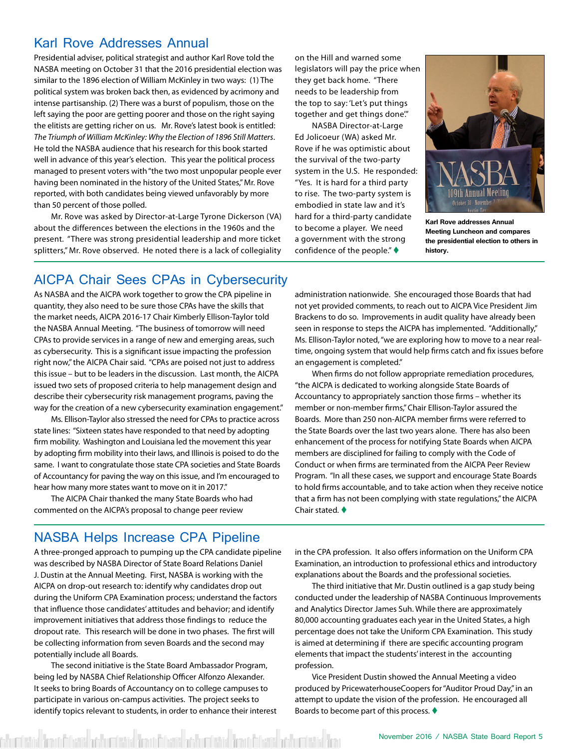#### <span id="page-4-0"></span>Karl Rove Addresses Annual

Presidential adviser, political strategist and author Karl Rove told the NASBA meeting on October 31 that the 2016 presidential election was similar to the 1896 election of William McKinley in two ways: (1) The political system was broken back then, as evidenced by acrimony and intense partisanship. (2) There was a burst of populism, those on the left saying the poor are getting poorer and those on the right saying the elitists are getting richer on us. Mr. Rove's latest book is entitled: *The Triumph of William McKinley: Why the Election of 1896 Still Matters*. He told the NASBA audience that his research for this book started well in advance of this year's election. This year the political process managed to present voters with "the two most unpopular people ever having been nominated in the history of the United States," Mr. Rove reported, with both candidates being viewed unfavorably by more than 50 percent of those polled.

Mr. Rove was asked by Director-at-Large Tyrone Dickerson (VA) about the differences between the elections in the 1960s and the present. "There was strong presidential leadership and more ticket splitters," Mr. Rove observed. He noted there is a lack of collegiality

on the Hill and warned some legislators will pay the price when they get back home. "There needs to be leadership from the top to say: 'Let's put things together and get things done."

NASBA Director-at-Large Ed Jolicoeur (WA) asked Mr. Rove if he was optimistic about the survival of the two-party system in the U.S. He responded: "Yes. It is hard for a third party to rise. The two-party system is embodied in state law and it's hard for a third-party candidate to become a player. We need a government with the strong confidence of the people."  $\blacklozenge$ 



**Karl Rove addresses Annual Meeting Luncheon and compares the presidential election to others in history.** 

#### AICPA Chair Sees CPAs in Cybersecurity

As NASBA and the AICPA work together to grow the CPA pipeline in quantity, they also need to be sure those CPAs have the skills that the market needs, AICPA 2016-17 Chair Kimberly Ellison-Taylor told the NASBA Annual Meeting. "The business of tomorrow will need CPAs to provide services in a range of new and emerging areas, such as cybersecurity. This is a significant issue impacting the profession right now," the AICPA Chair said. "CPAs are poised not just to address this issue – but to be leaders in the discussion. Last month, the AICPA issued two sets of proposed criteria to help management design and describe their cybersecurity risk management programs, paving the way for the creation of a new cybersecurity examination engagement."

Ms. Ellison-Taylor also stressed the need for CPAs to practice across state lines: "Sixteen states have responded to that need by adopting firm mobility. Washington and Louisiana led the movement this year by adopting firm mobility into their laws, and Illinois is poised to do the same. I want to congratulate those state CPA societies and State Boards of Accountancy for paving the way on this issue, and I'm encouraged to hear how many more states want to move on it in 2017."

The AICPA Chair thanked the many State Boards who had commented on the AICPA's proposal to change peer review

administration nationwide. She encouraged those Boards that had not yet provided comments, to reach out to AICPA Vice President Jim Brackens to do so. Improvements in audit quality have already been seen in response to steps the AICPA has implemented. "Additionally," Ms. Ellison-Taylor noted, "we are exploring how to move to a near realtime, ongoing system that would help firms catch and fix issues before an engagement is completed."

When firms do not follow appropriate remediation procedures, "the AICPA is dedicated to working alongside State Boards of Accountancy to appropriately sanction those firms – whether its member or non-member firms," Chair Ellison-Taylor assured the Boards. More than 250 non-AICPA member firms were referred to the State Boards over the last two years alone. There has also been enhancement of the process for notifying State Boards when AICPA members are disciplined for failing to comply with the Code of Conduct or when firms are terminated from the AICPA Peer Review Program. "In all these cases, we support and encourage State Boards to hold firms accountable, and to take action when they receive notice that a firm has not been complying with state regulations," the AICPA Chair stated.  $\blacklozenge$ 

#### NASBA Helps Increase CPA Pipeline

A three-pronged approach to pumping up the CPA candidate pipeline was described by NASBA Director of State Board Relations Daniel J. Dustin at the Annual Meeting. First, NASBA is working with the AICPA on drop-out research to: identify why candidates drop out during the Uniform CPA Examination process; understand the factors that influence those candidates' attitudes and behavior; and identify improvement initiatives that address those findings to reduce the dropout rate. This research will be done in two phases. The first will be collecting information from seven Boards and the second may potentially include all Boards.

The second initiative is the State Board Ambassador Program, being led by NASBA Chief Relationship Officer Alfonzo Alexander. It seeks to bring Boards of Accountancy on to college campuses to participate in various on-campus activities. The project seeks to identify topics relevant to students, in order to enhance their interest

d frant Charist archumistica frant Charist archumist

in the CPA profession. It also offers information on the Uniform CPA Examination, an introduction to professional ethics and introductory explanations about the Boards and the professional societies.

The third initiative that Mr. Dustin outlined is a gap study being conducted under the leadership of NASBA Continuous Improvements and Analytics Director James Suh. While there are approximately 80,000 accounting graduates each year in the United States, a high percentage does not take the Uniform CPA Examination. This study is aimed at determining if there are specific accounting program elements that impact the students' interest in the accounting profession.

Vice President Dustin showed the Annual Meeting a video produced by PricewaterhouseCoopers for "Auditor Proud Day," in an attempt to update the vision of the profession. He encouraged all Boards to become part of this process.  $\blacklozenge$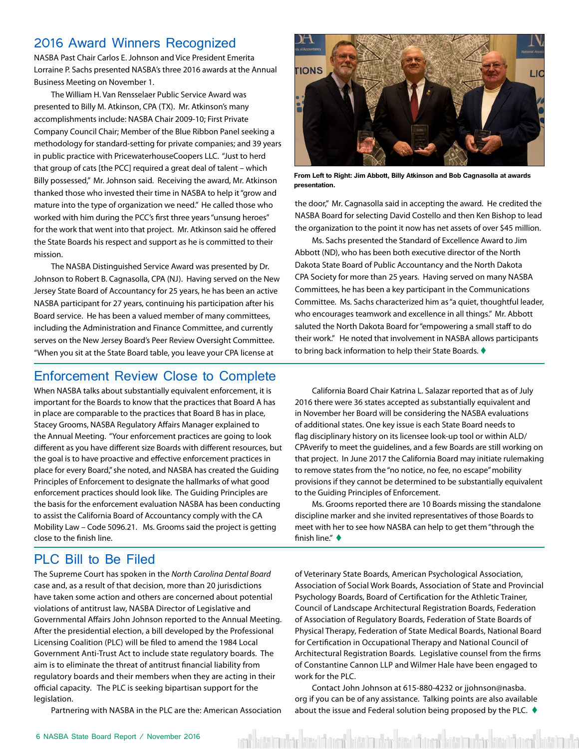#### <span id="page-5-0"></span>2016 Award Winners Recognized

NASBA Past Chair Carlos E. Johnson and Vice President Emerita Lorraine P. Sachs presented NASBA's three 2016 awards at the Annual Business Meeting on November 1.

The William H. Van Rensselaer Public Service Award was presented to Billy M. Atkinson, CPA (TX). Mr. Atkinson's many accomplishments include: NASBA Chair 2009-10; First Private Company Council Chair; Member of the Blue Ribbon Panel seeking a methodology for standard-setting for private companies; and 39 years in public practice with PricewaterhouseCoopers LLC. "Just to herd that group of cats [the PCC] required a great deal of talent – which Billy possessed," Mr. Johnson said. Receiving the award, Mr. Atkinson thanked those who invested their time in NASBA to help it "grow and mature into the type of organization we need." He called those who worked with him during the PCC's first three years "unsung heroes" for the work that went into that project. Mr. Atkinson said he offered the State Boards his respect and support as he is committed to their mission.

The NASBA Distinguished Service Award was presented by Dr. Johnson to Robert B. Cagnasolla, CPA (NJ). Having served on the New Jersey State Board of Accountancy for 25 years, he has been an active NASBA participant for 27 years, continuing his participation after his Board service. He has been a valued member of many committees, including the Administration and Finance Committee, and currently serves on the New Jersey Board's Peer Review Oversight Committee. "When you sit at the State Board table, you leave your CPA license at

#### Enforcement Review Close to Complete

When NASBA talks about substantially equivalent enforcement, it is important for the Boards to know that the practices that Board A has in place are comparable to the practices that Board B has in place, Stacey Grooms, NASBA Regulatory Affairs Manager explained to the Annual Meeting. "Your enforcement practices are going to look different as you have different size Boards with different resources, but the goal is to have proactive and effective enforcement practices in place for every Board," she noted, and NASBA has created the Guiding Principles of Enforcement to designate the hallmarks of what good enforcement practices should look like. The Guiding Principles are the basis for the enforcement evaluation NASBA has been conducting to assist the California Board of Accountancy comply with the CA Mobility Law – Code 5096.21. Ms. Grooms said the project is getting close to the finish line.

#### PLC Bill to Be Filed

The Supreme Court has spoken in the *North Carolina Dental Board* case and, as a result of that decision, more than 20 jurisdictions have taken some action and others are concerned about potential violations of antitrust law, NASBA Director of Legislative and Governmental Affairs John Johnson reported to the Annual Meeting. After the presidential election, a bill developed by the Professional Licensing Coalition (PLC) will be filed to amend the 1984 Local Government Anti-Trust Act to include state regulatory boards. The aim is to eliminate the threat of antitrust financial liability from regulatory boards and their members when they are acting in their official capacity. The PLC is seeking bipartisan support for the legislation.

Partnering with NASBA in the PLC are the: American Association



**From Left to Right: Jim Abbott, Billy Atkinson and Bob Cagnasolla at awards presentation.**

the door," Mr. Cagnasolla said in accepting the award. He credited the NASBA Board for selecting David Costello and then Ken Bishop to lead the organization to the point it now has net assets of over \$45 million.

Ms. Sachs presented the Standard of Excellence Award to Jim Abbott (ND), who has been both executive director of the North Dakota State Board of Public Accountancy and the North Dakota CPA Society for more than 25 years. Having served on many NASBA Committees, he has been a key participant in the Communications Committee. Ms. Sachs characterized him as "a quiet, thoughtful leader, who encourages teamwork and excellence in all things." Mr. Abbott saluted the North Dakota Board for "empowering a small staff to do their work." He noted that involvement in NASBA allows participants to bring back information to help their State Boards.  $\blacklozenge$ 

California Board Chair Katrina L. Salazar reported that as of July 2016 there were 36 states accepted as substantially equivalent and in November her Board will be considering the NASBA evaluations of additional states. One key issue is each State Board needs to flag disciplinary history on its licensee look-up tool or within ALD/ CPAverify to meet the guidelines, and a few Boards are still working on that project. In June 2017 the California Board may initiate rulemaking to remove states from the "no notice, no fee, no escape" mobility provisions if they cannot be determined to be substantially equivalent to the Guiding Principles of Enforcement.

Ms. Grooms reported there are 10 Boards missing the standalone discipline marker and she invited representatives of those Boards to meet with her to see how NASBA can help to get them "through the finish line." $\triangleq$ 

of Veterinary State Boards, American Psychological Association, Association of Social Work Boards, Association of State and Provincial Psychology Boards, Board of Certification for the Athletic Trainer, Council of Landscape Architectural Registration Boards, Federation of Association of Regulatory Boards, Federation of State Boards of Physical Therapy, Federation of State Medical Boards, National Board for Certification in Occupational Therapy and National Council of Architectural Registration Boards. Legislative counsel from the firms of Constantine Cannon LLP and Wilmer Hale have been engaged to work for the PLC.

Contact John Johnson at 615-880-4232 or jjohnson@nasba. org if you can be of any assistance. Talking points are also available about the issue and Federal solution being proposed by the PLC.  $\blacklozenge$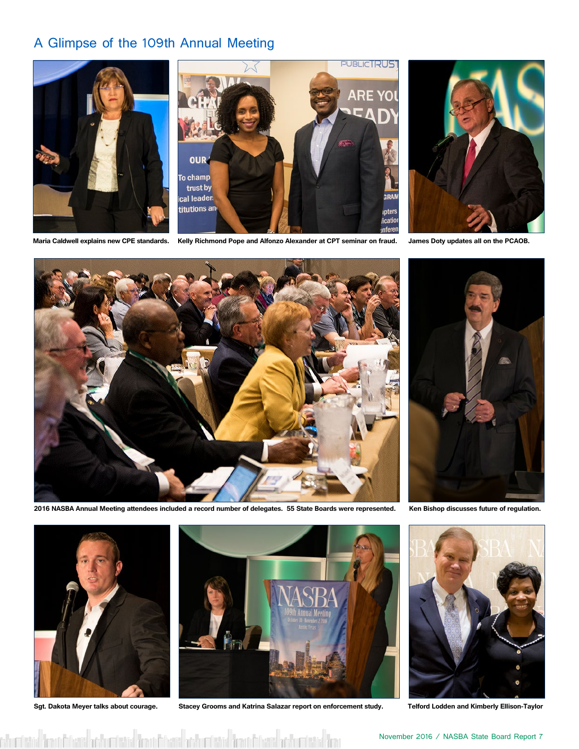#### <span id="page-6-0"></span>A Glimpse of the 109th Annual Meeting





**Maria Caldwell explains new CPE standards. Kelly Richmond Pope and Alfonzo Alexander at CPT seminar on fraud.**



**James Doty updates all on the PCAOB.**



**2016 NASBA Annual Meeting attendees included a record number of delegates. 55 State Boards were represented.** 



**Ken Bishop discusses future of regulation.**





**Sgt. Dakota Meyer talks about courage. Stacey Grooms and Katrina Salazar report on enforcement study.**



**Telford Lodden and Kimberly Ellison-Taylor**